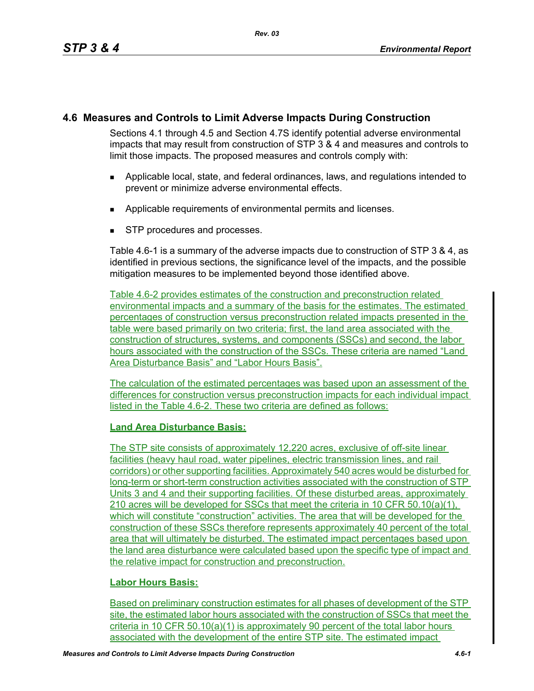## **4.6 Measures and Controls to Limit Adverse Impacts During Construction**

Sections 4.1 through 4.5 and Section 4.7S identify potential adverse environmental impacts that may result from construction of STP 3 & 4 and measures and controls to limit those impacts. The proposed measures and controls comply with:

- Applicable local, state, and federal ordinances, laws, and regulations intended to prevent or minimize adverse environmental effects.
- **Applicable requirements of environmental permits and licenses.**
- **STP** procedures and processes.

Table 4.6-1 is a summary of the adverse impacts due to construction of STP 3 & 4, as identified in previous sections, the significance level of the impacts, and the possible mitigation measures to be implemented beyond those identified above.

Table 4.6-2 provides estimates of the construction and preconstruction related environmental impacts and a summary of the basis for the estimates. The estimated percentages of construction versus preconstruction related impacts presented in the table were based primarily on two criteria; first, the land area associated with the construction of structures, systems, and components (SSCs) and second, the labor hours associated with the construction of the SSCs. These criteria are named "Land Area Disturbance Basis" and "Labor Hours Basis".

The calculation of the estimated percentages was based upon an assessment of the differences for construction versus preconstruction impacts for each individual impact listed in the Table 4.6-2. These two criteria are defined as follows:

## **Land Area Disturbance Basis:**

The STP site consists of approximately 12,220 acres, exclusive of off-site linear facilities (heavy haul road, water pipelines, electric transmission lines, and rail corridors) or other supporting facilities. Approximately 540 acres would be disturbed for long-term or short-term construction activities associated with the construction of STP Units 3 and 4 and their supporting facilities. Of these disturbed areas, approximately 210 acres will be developed for SSCs that meet the criteria in 10 CFR 50.10(a)(1), which will constitute "construction" activities. The area that will be developed for the construction of these SSCs therefore represents approximately 40 percent of the total area that will ultimately be disturbed. The estimated impact percentages based upon the land area disturbance were calculated based upon the specific type of impact and the relative impact for construction and preconstruction.

## **Labor Hours Basis:**

Based on preliminary construction estimates for all phases of development of the STP site, the estimated labor hours associated with the construction of SSCs that meet the criteria in 10 CFR 50.10(a)(1) is approximately 90 percent of the total labor hours associated with the development of the entire STP site. The estimated impact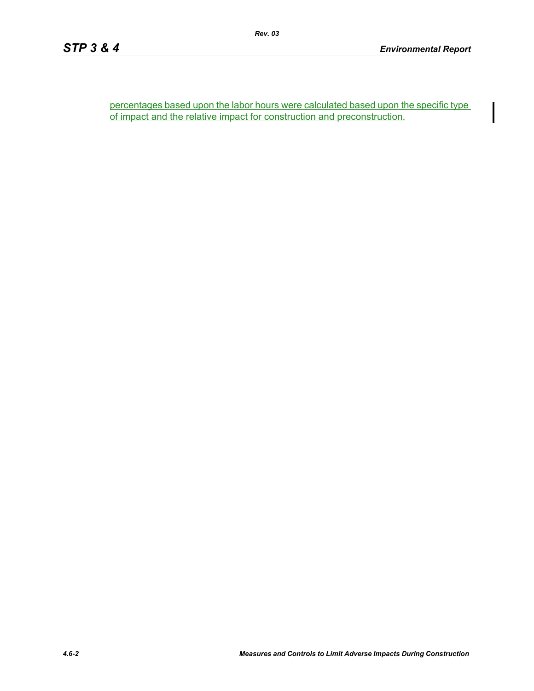percentages based upon the labor hours were calculated based upon the specific type of impact and the relative impact for construction and preconstruction.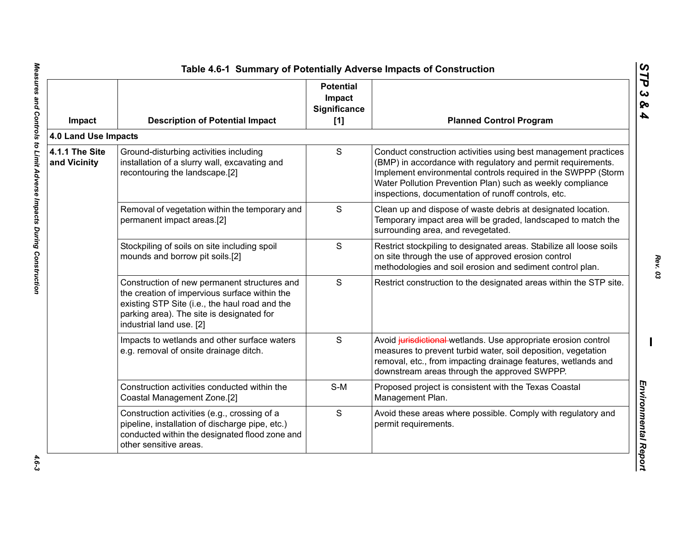| Impact                         | <b>Description of Potential Impact</b>                                                                                                                                                                                   | <b>Potential</b><br>Impact<br><b>Significance</b><br>$[1]$ | <b>Planned Control Program</b>                                                                                                                                                                                                                                                                                        |
|--------------------------------|--------------------------------------------------------------------------------------------------------------------------------------------------------------------------------------------------------------------------|------------------------------------------------------------|-----------------------------------------------------------------------------------------------------------------------------------------------------------------------------------------------------------------------------------------------------------------------------------------------------------------------|
| 4.0 Land Use Impacts           |                                                                                                                                                                                                                          |                                                            |                                                                                                                                                                                                                                                                                                                       |
| 4.1.1 The Site<br>and Vicinity | Ground-disturbing activities including<br>installation of a slurry wall, excavating and<br>recontouring the landscape.[2]                                                                                                | S                                                          | Conduct construction activities using best management practices<br>(BMP) in accordance with regulatory and permit requirements.<br>Implement environmental controls required in the SWPPP (Storm<br>Water Pollution Prevention Plan) such as weekly compliance<br>inspections, documentation of runoff controls, etc. |
|                                | Removal of vegetation within the temporary and<br>permanent impact areas.[2]                                                                                                                                             | S                                                          | Clean up and dispose of waste debris at designated location.<br>Temporary impact area will be graded, landscaped to match the<br>surrounding area, and revegetated.                                                                                                                                                   |
|                                | Stockpiling of soils on site including spoil<br>mounds and borrow pit soils.[2]                                                                                                                                          | S                                                          | Restrict stockpiling to designated areas. Stabilize all loose soils<br>on site through the use of approved erosion control<br>methodologies and soil erosion and sediment control plan.                                                                                                                               |
|                                | Construction of new permanent structures and<br>the creation of impervious surface within the<br>existing STP Site (i.e., the haul road and the<br>parking area). The site is designated for<br>industrial land use. [2] | S                                                          | Restrict construction to the designated areas within the STP site.                                                                                                                                                                                                                                                    |
|                                | Impacts to wetlands and other surface waters<br>e.g. removal of onsite drainage ditch.                                                                                                                                   | S                                                          | Avoid jurisdictional wetlands. Use appropriate erosion control<br>measures to prevent turbid water, soil deposition, vegetation<br>removal, etc., from impacting drainage features, wetlands and<br>downstream areas through the approved SWPPP.                                                                      |
|                                | Construction activities conducted within the<br>Coastal Management Zone.[2]                                                                                                                                              | $S-M$                                                      | Proposed project is consistent with the Texas Coastal<br>Management Plan.                                                                                                                                                                                                                                             |
|                                | Construction activities (e.g., crossing of a<br>pipeline, installation of discharge pipe, etc.)<br>conducted within the designated flood zone and<br>other sensitive areas.                                              | S                                                          | Avoid these areas where possible. Comply with regulatory and<br>permit requirements.                                                                                                                                                                                                                                  |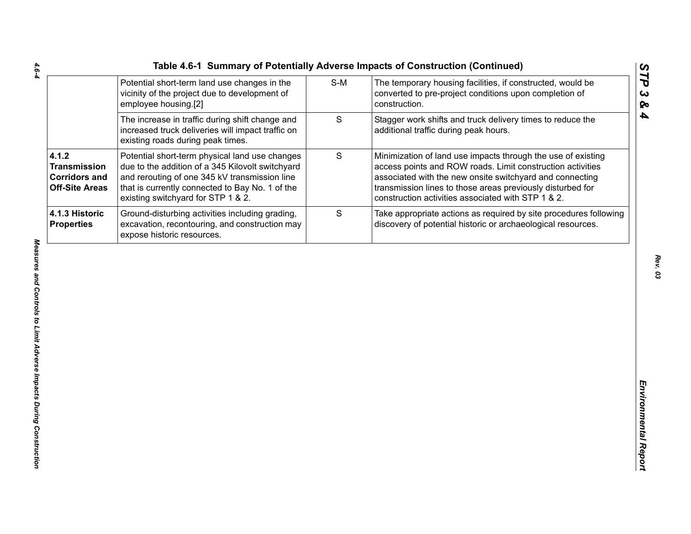| Table 4.6-1 Summary of Potentially Adverse Impacts of Construction (Continued) |     |                                                   |
|--------------------------------------------------------------------------------|-----|---------------------------------------------------|
| Potential short-term land use changes in the                                   | S-M | The temporary housing facilities, if constructed, |
| vicinity of the project due to development of                                  |     | converted to pre-project conditions upon comple   |

|                                                                               | Potential short-term land use changes in the<br>vicinity of the project due to development of<br>employee housing.[2]                                                                                                                        | $S-M$ | The temporary housing facilities, if constructed, would be<br>converted to pre-project conditions upon completion of<br>construction.                                                                                                                                                                      |
|-------------------------------------------------------------------------------|----------------------------------------------------------------------------------------------------------------------------------------------------------------------------------------------------------------------------------------------|-------|------------------------------------------------------------------------------------------------------------------------------------------------------------------------------------------------------------------------------------------------------------------------------------------------------------|
|                                                                               | The increase in traffic during shift change and<br>increased truck deliveries will impact traffic on<br>existing roads during peak times.                                                                                                    | S     | Stagger work shifts and truck delivery times to reduce the<br>additional traffic during peak hours.                                                                                                                                                                                                        |
| 4.1.2<br><b>Transmission</b><br><b>Corridors and</b><br><b>Off-Site Areas</b> | Potential short-term physical land use changes<br>due to the addition of a 345 Kilovolt switchyard<br>and rerouting of one 345 kV transmission line<br>that is currently connected to Bay No. 1 of the<br>existing switchyard for STP 1 & 2. | S     | Minimization of land use impacts through the use of existing<br>access points and ROW roads. Limit construction activities<br>associated with the new onsite switchyard and connecting<br>transmission lines to those areas previously disturbed for<br>construction activities associated with STP 1 & 2. |
| 4.1.3 Historic<br><b>Properties</b>                                           | Ground-disturbing activities including grading,<br>excavation, recontouring, and construction may<br>expose historic resources.                                                                                                              | S     | Take appropriate actions as required by site procedures following<br>discovery of potential historic or archaeological resources.                                                                                                                                                                          |
|                                                                               |                                                                                                                                                                                                                                              |       |                                                                                                                                                                                                                                                                                                            |
|                                                                               |                                                                                                                                                                                                                                              |       |                                                                                                                                                                                                                                                                                                            |

*STP 3 & 4*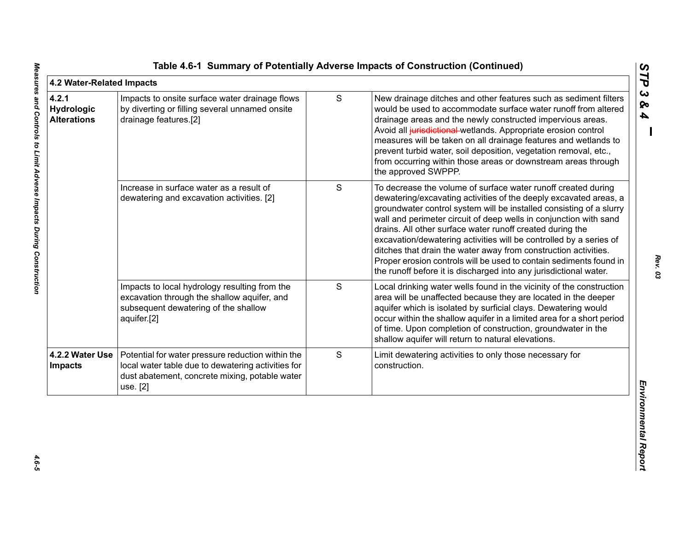| 4.2 Water-Related Impacts                 |                                                                                                                                                                       |   |                                                                                                                                                                                                                                                                                                                                                                                                                                                                                                                                                                                                                                 |
|-------------------------------------------|-----------------------------------------------------------------------------------------------------------------------------------------------------------------------|---|---------------------------------------------------------------------------------------------------------------------------------------------------------------------------------------------------------------------------------------------------------------------------------------------------------------------------------------------------------------------------------------------------------------------------------------------------------------------------------------------------------------------------------------------------------------------------------------------------------------------------------|
| 4.2.1<br>Hydrologic<br><b>Alterations</b> | Impacts to onsite surface water drainage flows<br>by diverting or filling several unnamed onsite<br>drainage features.[2]                                             | S | New drainage ditches and other features such as sediment filters<br>would be used to accommodate surface water runoff from altered<br>drainage areas and the newly constructed impervious areas.<br>Avoid all jurisdictional wetlands. Appropriate erosion control<br>measures will be taken on all drainage features and wetlands to<br>prevent turbid water, soil deposition, vegetation removal, etc.,<br>from occurring within those areas or downstream areas through<br>the approved SWPPP.                                                                                                                               |
|                                           | Increase in surface water as a result of<br>dewatering and excavation activities. [2]                                                                                 | S | To decrease the volume of surface water runoff created during<br>dewatering/excavating activities of the deeply excavated areas, a<br>groundwater control system will be installed consisting of a slurry<br>wall and perimeter circuit of deep wells in conjunction with sand<br>drains. All other surface water runoff created during the<br>excavation/dewatering activities will be controlled by a series of<br>ditches that drain the water away from construction activities.<br>Proper erosion controls will be used to contain sediments found in<br>the runoff before it is discharged into any jurisdictional water. |
|                                           | Impacts to local hydrology resulting from the<br>excavation through the shallow aquifer, and<br>subsequent dewatering of the shallow<br>aquifer.[2]                   | S | Local drinking water wells found in the vicinity of the construction<br>area will be unaffected because they are located in the deeper<br>aquifer which is isolated by surficial clays. Dewatering would<br>occur within the shallow aquifer in a limited area for a short period<br>of time. Upon completion of construction, groundwater in the<br>shallow aquifer will return to natural elevations.                                                                                                                                                                                                                         |
| 4.2.2 Water Use<br><b>Impacts</b>         | Potential for water pressure reduction within the<br>local water table due to dewatering activities for<br>dust abatement, concrete mixing, potable water<br>use. [2] | S | Limit dewatering activities to only those necessary for<br>construction.                                                                                                                                                                                                                                                                                                                                                                                                                                                                                                                                                        |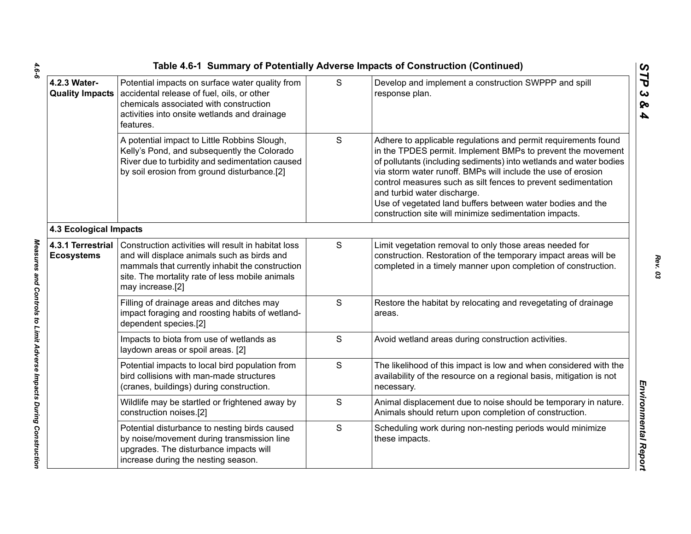|                                        | Table 4.6-1 Summary of Potentially Adverse Impacts of Construction (Continued)<br>STP                                                                                                                                        |   |                                                                                                                                                                                                                                                                                                                                                                                                                                                                                             |  |  |  |
|----------------------------------------|------------------------------------------------------------------------------------------------------------------------------------------------------------------------------------------------------------------------------|---|---------------------------------------------------------------------------------------------------------------------------------------------------------------------------------------------------------------------------------------------------------------------------------------------------------------------------------------------------------------------------------------------------------------------------------------------------------------------------------------------|--|--|--|
| 4.2.3 Water-                           | Potential impacts on surface water quality from<br>Quality Impacts   accidental release of fuel, oils, or other<br>chemicals associated with construction<br>activities into onsite wetlands and drainage<br>features.       | S | Develop and implement a construction SWPPP and spill<br>response plan.                                                                                                                                                                                                                                                                                                                                                                                                                      |  |  |  |
|                                        | A potential impact to Little Robbins Slough,<br>Kelly's Pond, and subsequently the Colorado<br>River due to turbidity and sedimentation caused<br>by soil erosion from ground disturbance.[2]                                | S | Adhere to applicable regulations and permit requirements found<br>in the TPDES permit. Implement BMPs to prevent the movement<br>of pollutants (including sediments) into wetlands and water bodies<br>via storm water runoff. BMPs will include the use of erosion<br>control measures such as silt fences to prevent sedimentation<br>and turbid water discharge.<br>Use of vegetated land buffers between water bodies and the<br>construction site will minimize sedimentation impacts. |  |  |  |
| <b>4.3 Ecological Impacts</b>          |                                                                                                                                                                                                                              |   |                                                                                                                                                                                                                                                                                                                                                                                                                                                                                             |  |  |  |
| 4.3.1 Terrestrial<br><b>Ecosystems</b> | Construction activities will result in habitat loss<br>and will displace animals such as birds and<br>mammals that currently inhabit the construction<br>site. The mortality rate of less mobile animals<br>may increase.[2] | S | Limit vegetation removal to only those areas needed for<br>construction. Restoration of the temporary impact areas will be<br>completed in a timely manner upon completion of construction.                                                                                                                                                                                                                                                                                                 |  |  |  |
|                                        | Filling of drainage areas and ditches may<br>impact foraging and roosting habits of wetland-<br>dependent species.[2]                                                                                                        | S | Restore the habitat by relocating and revegetating of drainage<br>areas.                                                                                                                                                                                                                                                                                                                                                                                                                    |  |  |  |
|                                        | Impacts to biota from use of wetlands as<br>laydown areas or spoil areas. [2]                                                                                                                                                | S | Avoid wetland areas during construction activities.                                                                                                                                                                                                                                                                                                                                                                                                                                         |  |  |  |
|                                        | Potential impacts to local bird population from<br>bird collisions with man-made structures<br>(cranes, buildings) during construction.                                                                                      | S | The likelihood of this impact is low and when considered with the<br>availability of the resource on a regional basis, mitigation is not<br>necessary.                                                                                                                                                                                                                                                                                                                                      |  |  |  |
|                                        | Wildlife may be startled or frightened away by<br>construction noises.[2]                                                                                                                                                    | S | Animal displacement due to noise should be temporary in nature.<br>Animals should return upon completion of construction.                                                                                                                                                                                                                                                                                                                                                                   |  |  |  |
|                                        | Potential disturbance to nesting birds caused<br>by noise/movement during transmission line<br>upgrades. The disturbance impacts will<br>increase during the nesting season.                                                 | S | Scheduling work during non-nesting periods would minimize<br>these impacts.                                                                                                                                                                                                                                                                                                                                                                                                                 |  |  |  |
|                                        |                                                                                                                                                                                                                              |   |                                                                                                                                                                                                                                                                                                                                                                                                                                                                                             |  |  |  |

 $4.6 - 6$ *4.6-6 Measures and Controls to Limit Adverse Impacts During Construction* 

Measures and Controls to Limit Adverse Impacts During Construction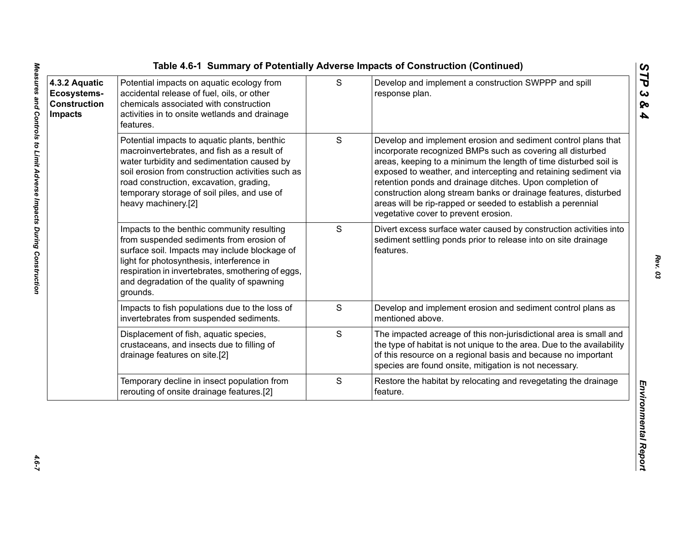| 4.3.2 Aquatic<br>Ecosystems-<br><b>Construction</b><br><b>Impacts</b> | Potential impacts on aquatic ecology from<br>accidental release of fuel, oils, or other<br>chemicals associated with construction<br>activities in to onsite wetlands and drainage<br>features.                                                                                                                  | S             | Develop and implement a construction SWPPP and spill<br>response plan.                                                                                                                                                                                                                                                                                                                                                                                                                                   |
|-----------------------------------------------------------------------|------------------------------------------------------------------------------------------------------------------------------------------------------------------------------------------------------------------------------------------------------------------------------------------------------------------|---------------|----------------------------------------------------------------------------------------------------------------------------------------------------------------------------------------------------------------------------------------------------------------------------------------------------------------------------------------------------------------------------------------------------------------------------------------------------------------------------------------------------------|
|                                                                       | Potential impacts to aquatic plants, benthic<br>macroinvertebrates, and fish as a result of<br>water turbidity and sedimentation caused by<br>soil erosion from construction activities such as<br>road construction, excavation, grading,<br>temporary storage of soil piles, and use of<br>heavy machinery.[2] | ${\mathsf S}$ | Develop and implement erosion and sediment control plans that<br>incorporate recognized BMPs such as covering all disturbed<br>areas, keeping to a minimum the length of time disturbed soil is<br>exposed to weather, and intercepting and retaining sediment via<br>retention ponds and drainage ditches. Upon completion of<br>construction along stream banks or drainage features, disturbed<br>areas will be rip-rapped or seeded to establish a perennial<br>vegetative cover to prevent erosion. |
|                                                                       | Impacts to the benthic community resulting<br>from suspended sediments from erosion of<br>surface soil. Impacts may include blockage of<br>light for photosynthesis, interference in<br>respiration in invertebrates, smothering of eggs,<br>and degradation of the quality of spawning<br>grounds.              | S             | Divert excess surface water caused by construction activities into<br>sediment settling ponds prior to release into on site drainage<br>features.                                                                                                                                                                                                                                                                                                                                                        |
|                                                                       | Impacts to fish populations due to the loss of<br>invertebrates from suspended sediments.                                                                                                                                                                                                                        | S             | Develop and implement erosion and sediment control plans as<br>mentioned above.                                                                                                                                                                                                                                                                                                                                                                                                                          |
|                                                                       | Displacement of fish, aquatic species,<br>crustaceans, and insects due to filling of<br>drainage features on site.[2]                                                                                                                                                                                            | S             | The impacted acreage of this non-jurisdictional area is small and<br>the type of habitat is not unique to the area. Due to the availability<br>of this resource on a regional basis and because no important<br>species are found onsite, mitigation is not necessary.                                                                                                                                                                                                                                   |
|                                                                       | Temporary decline in insect population from<br>rerouting of onsite drainage features.[2]                                                                                                                                                                                                                         | ${\mathsf S}$ | Restore the habitat by relocating and revegetating the drainage<br>feature.                                                                                                                                                                                                                                                                                                                                                                                                                              |

*STP 3 & 4*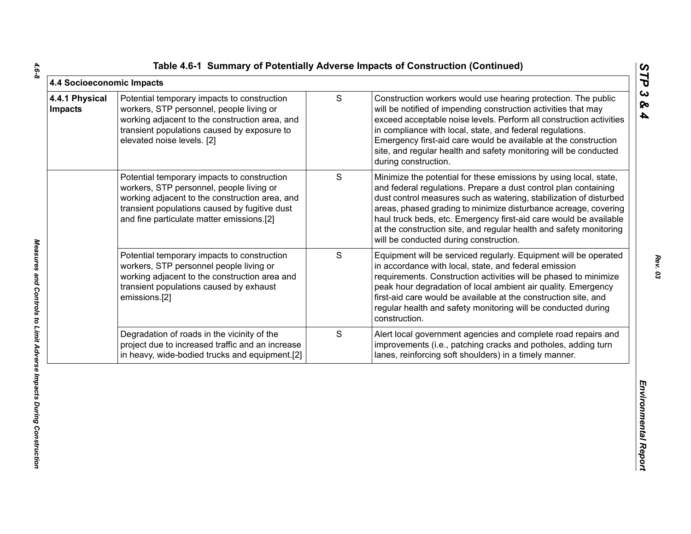|  |  | Table 4.6-1 Summary of Potentially Adverse Impacts of Construction (Continued) |  |  |  |  |
|--|--|--------------------------------------------------------------------------------|--|--|--|--|
|--|--|--------------------------------------------------------------------------------|--|--|--|--|

| 4.4 Socioeconomic Impacts        |                                                                                                                                                                                                                                         |               |                                                                                                                                                                                                                                                                                                                                                                                                                                                                    | STP                                            |
|----------------------------------|-----------------------------------------------------------------------------------------------------------------------------------------------------------------------------------------------------------------------------------------|---------------|--------------------------------------------------------------------------------------------------------------------------------------------------------------------------------------------------------------------------------------------------------------------------------------------------------------------------------------------------------------------------------------------------------------------------------------------------------------------|------------------------------------------------|
| 4.4.1 Physical<br><b>Impacts</b> | Potential temporary impacts to construction<br>workers, STP personnel, people living or<br>working adjacent to the construction area, and<br>transient populations caused by exposure to<br>elevated noise levels. [2]                  | ${\mathsf S}$ | Construction workers would use hearing protection. The public<br>will be notified of impending construction activities that may<br>exceed acceptable noise levels. Perform all construction activities<br>in compliance with local, state, and federal regulations.<br>Emergency first-aid care would be available at the construction<br>site, and regular health and safety monitoring will be conducted<br>during construction.                                 | $\boldsymbol{\omega}$<br>ବ<br>$\blacktriangle$ |
|                                  | Potential temporary impacts to construction<br>workers, STP personnel, people living or<br>working adjacent to the construction area, and<br>transient populations caused by fugitive dust<br>and fine particulate matter emissions.[2] | S             | Minimize the potential for these emissions by using local, state,<br>and federal regulations. Prepare a dust control plan containing<br>dust control measures such as watering, stabilization of disturbed<br>areas, phased grading to minimize disturbance acreage, covering<br>haul truck beds, etc. Emergency first-aid care would be available<br>at the construction site, and regular health and safety monitoring<br>will be conducted during construction. |                                                |
|                                  | Potential temporary impacts to construction<br>workers, STP personnel people living or<br>working adjacent to the construction area and<br>transient populations caused by exhaust<br>emissions.[2]                                     | S             | Equipment will be serviced regularly. Equipment will be operated<br>in accordance with local, state, and federal emission<br>requirements. Construction activities will be phased to minimize<br>peak hour degradation of local ambient air quality. Emergency<br>first-aid care would be available at the construction site, and<br>regular health and safety monitoring will be conducted during<br>construction.                                                |                                                |
|                                  | Degradation of roads in the vicinity of the<br>project due to increased traffic and an increase<br>in heavy, wide-bodied trucks and equipment.[2]                                                                                       | S             | Alert local government agencies and complete road repairs and<br>improvements (i.e., patching cracks and potholes, adding turn<br>lanes, reinforcing soft shoulders) in a timely manner.                                                                                                                                                                                                                                                                           |                                                |
|                                  |                                                                                                                                                                                                                                         |               |                                                                                                                                                                                                                                                                                                                                                                                                                                                                    | Environmental Report                           |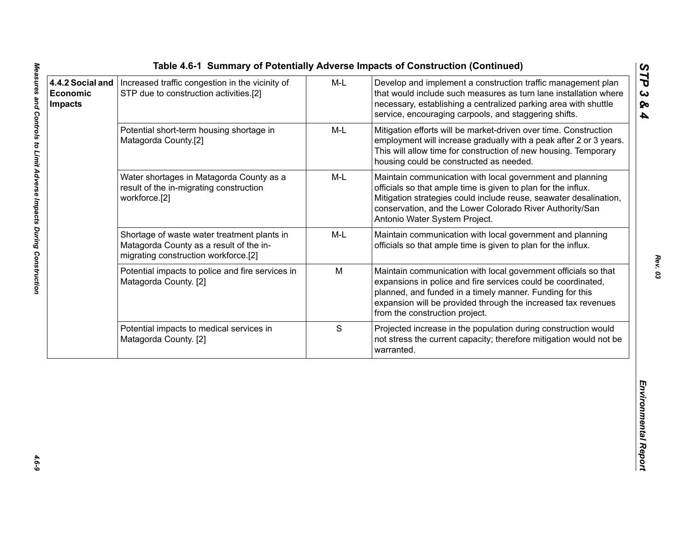|                                                       |                                                                                                                                |       | Table 4.6-1 Summary of Potentially Adverse Impacts of Construction (Continued)                                                                                                                                                                                                                |                                          |
|-------------------------------------------------------|--------------------------------------------------------------------------------------------------------------------------------|-------|-----------------------------------------------------------------------------------------------------------------------------------------------------------------------------------------------------------------------------------------------------------------------------------------------|------------------------------------------|
| 4.4.2 Social and<br><b>Economic</b><br><b>Impacts</b> | Increased traffic congestion in the vicinity of<br>STP due to construction activities.[2]                                      | $M-L$ | Develop and implement a construction traffic management plan<br>that would include such measures as turn lane installation where<br>necessary, establishing a centralized parking area with shuttle<br>service, encouraging carpools, and staggering shifts.                                  | STP<br>$\boldsymbol{\omega}$<br>ନ୍ତ<br>4 |
|                                                       | Potential short-term housing shortage in<br>Matagorda County.[2]                                                               | M-L   | Mitigation efforts will be market-driven over time. Construction<br>employment will increase gradually with a peak after 2 or 3 years.<br>This will allow time for construction of new housing. Temporary<br>housing could be constructed as needed.                                          |                                          |
|                                                       | Water shortages in Matagorda County as a<br>result of the in-migrating construction<br>workforce.[2]                           | M-L   | Maintain communication with local government and planning<br>officials so that ample time is given to plan for the influx.<br>Mitigation strategies could include reuse, seawater desalination,<br>conservation, and the Lower Colorado River Authority/San<br>Antonio Water System Project.  |                                          |
|                                                       | Shortage of waste water treatment plants in<br>Matagorda County as a result of the in-<br>migrating construction workforce.[2] | M-L   | Maintain communication with local government and planning<br>officials so that ample time is given to plan for the influx.                                                                                                                                                                    |                                          |
|                                                       | Potential impacts to police and fire services in<br>Matagorda County. [2]                                                      | M     | Maintain communication with local government officials so that<br>expansions in police and fire services could be coordinated,<br>planned, and funded in a timely manner. Funding for this<br>expansion will be provided through the increased tax revenues<br>from the construction project. |                                          |
|                                                       | Potential impacts to medical services in<br>Matagorda County. [2]                                                              | S     | Projected increase in the population during construction would<br>not stress the current capacity; therefore mitigation would not be<br>warranted.                                                                                                                                            |                                          |
|                                                       |                                                                                                                                |       |                                                                                                                                                                                                                                                                                               | Environmental Report                     |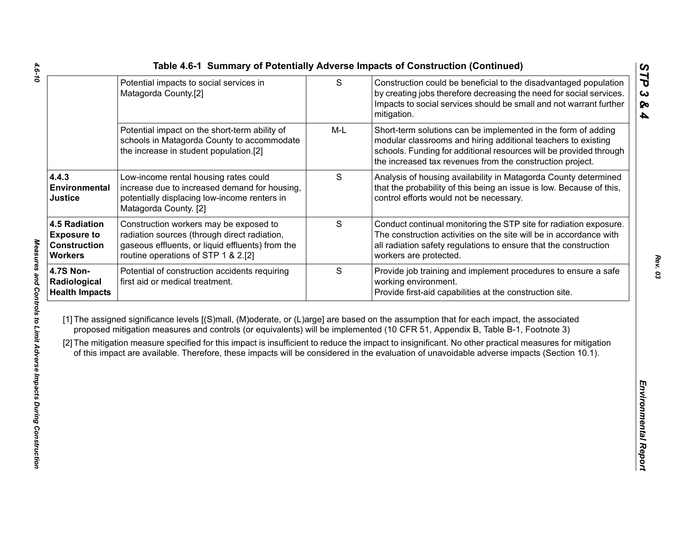|                                                                                     | Potential impacts to social services in<br>Matagorda County.[2]                                                                                                                   | $\mathsf S$ | Construction could be beneficial to the disadvantaged population<br>by creating jobs therefore decreasing the need for social services.<br>Impacts to social services should be small and not warrant further<br>mitigation.                                                                                                                                                                                                                                                                                                                                                     |
|-------------------------------------------------------------------------------------|-----------------------------------------------------------------------------------------------------------------------------------------------------------------------------------|-------------|----------------------------------------------------------------------------------------------------------------------------------------------------------------------------------------------------------------------------------------------------------------------------------------------------------------------------------------------------------------------------------------------------------------------------------------------------------------------------------------------------------------------------------------------------------------------------------|
|                                                                                     | Potential impact on the short-term ability of<br>schools in Matagorda County to accommodate<br>the increase in student population.[2]                                             | $M-L$       | Short-term solutions can be implemented in the form of adding<br>modular classrooms and hiring additional teachers to existing<br>schools. Funding for additional resources will be provided through<br>the increased tax revenues from the construction project.                                                                                                                                                                                                                                                                                                                |
| 4.4.3<br>Environmental<br><b>Justice</b>                                            | Low-income rental housing rates could<br>increase due to increased demand for housing,<br>potentially displacing low-income renters in<br>Matagorda County. [2]                   | S           | Analysis of housing availability in Matagorda County determined<br>that the probability of this being an issue is low. Because of this,<br>control efforts would not be necessary.                                                                                                                                                                                                                                                                                                                                                                                               |
| <b>4.5 Radiation</b><br><b>Exposure to</b><br><b>Construction</b><br><b>Workers</b> | Construction workers may be exposed to<br>radiation sources (through direct radiation,<br>gaseous effluents, or liquid effluents) from the<br>routine operations of STP 1 & 2.[2] | S           | Conduct continual monitoring the STP site for radiation exposure.<br>The construction activities on the site will be in accordance with<br>all radiation safety regulations to ensure that the construction<br>workers are protected.                                                                                                                                                                                                                                                                                                                                            |
| <b>4.7S Non-</b><br>Radiological<br><b>Health Impacts</b>                           | Potential of construction accidents requiring<br>first aid or medical treatment.                                                                                                  | S           | Provide job training and implement procedures to ensure a safe<br>working environment.<br>Provide first-aid capabilities at the construction site.                                                                                                                                                                                                                                                                                                                                                                                                                               |
|                                                                                     |                                                                                                                                                                                   |             | [1] The assigned significance levels [(S)mall, (M)oderate, or (L)arge] are based on the assumption that for each impact, the associated<br>proposed mitigation measures and controls (or equivalents) will be implemented (10 CFR 51, Appendix B, Table B-1, Footnote 3)<br>[2] The mitigation measure specified for this impact is insufficient to reduce the impact to insignificant. No other practical measures for mitigation<br>of this impact are available. Therefore, these impacts will be considered in the evaluation of unavoidable adverse impacts (Section 10.1). |
|                                                                                     |                                                                                                                                                                                   |             |                                                                                                                                                                                                                                                                                                                                                                                                                                                                                                                                                                                  |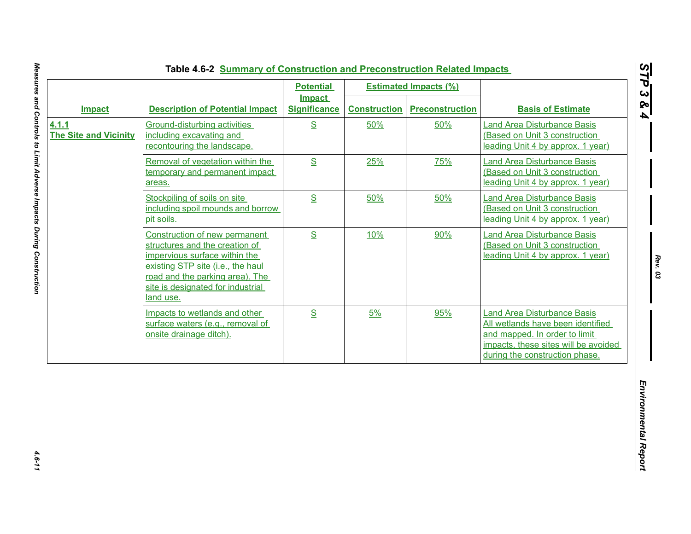|                                       |                                                                                                                                                                                                                            | <b>Potential</b>                     |                     | <b>Estimated Impacts (%)</b> |                                                                                                                                                                                    |
|---------------------------------------|----------------------------------------------------------------------------------------------------------------------------------------------------------------------------------------------------------------------------|--------------------------------------|---------------------|------------------------------|------------------------------------------------------------------------------------------------------------------------------------------------------------------------------------|
| <b>Impact</b>                         | <b>Description of Potential Impact</b>                                                                                                                                                                                     | <b>Impact</b><br><b>Significance</b> | <b>Construction</b> | <b>Preconstruction</b>       | <b>Basis of Estimate</b>                                                                                                                                                           |
| 4.1.1<br><b>The Site and Vicinity</b> | Ground-disturbing activities<br>including excavating and<br>recontouring the landscape.                                                                                                                                    | S                                    | 50%                 | 50%                          | <b>Land Area Disturbance Basis</b><br>(Based on Unit 3 construction<br>leading Unit 4 by approx. 1 year)                                                                           |
|                                       | Removal of vegetation within the<br>temporary and permanent impact<br>areas.                                                                                                                                               | S                                    | 25%                 | 75%                          | <b>Land Area Disturbance Basis</b><br>(Based on Unit 3 construction<br>leading Unit 4 by approx. 1 year)                                                                           |
|                                       | Stockpiling of soils on site<br>including spoil mounds and borrow<br>pit soils.                                                                                                                                            | S                                    | 50%                 | 50%                          | <b>Land Area Disturbance Basis</b><br>(Based on Unit 3 construction<br>leading Unit 4 by approx. 1 year)                                                                           |
|                                       | Construction of new permanent<br>structures and the creation of<br>impervious surface within the<br>existing STP site (i.e., the haul<br>road and the parking area). The<br>site is designated for industrial<br>land use. | S                                    | 10%                 | 90%                          | <b>Land Area Disturbance Basis</b><br>(Based on Unit 3 construction<br>leading Unit 4 by approx. 1 year)                                                                           |
|                                       | Impacts to wetlands and other<br>surface waters (e.g., removal of<br>onsite drainage ditch).                                                                                                                               | S                                    | 5%                  | 95%                          | <b>Land Area Disturbance Basis</b><br>All wetlands have been identified<br>and mapped. In order to limit<br>impacts, these sites will be avoided<br>during the construction phase. |

*STP 3 & 4*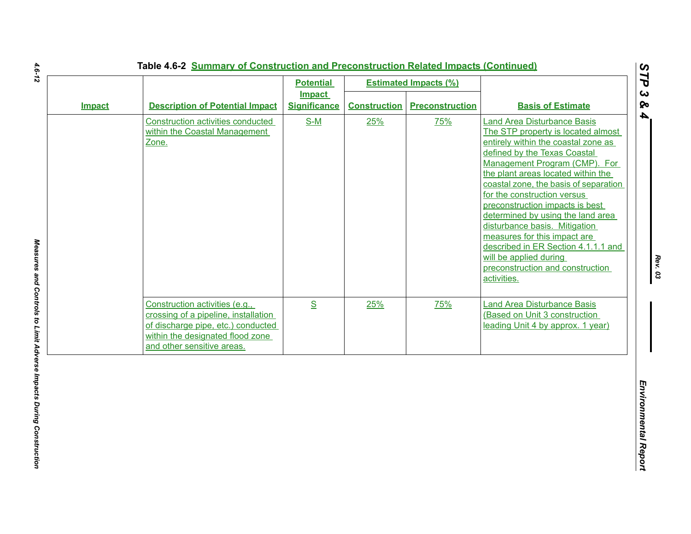|               |                                                                                                                                                                                | <b>Potential</b>                     |                     | <b>Estimated Impacts (%)</b> |                                                                                                                                                                                                                                                                                                                                                                                                                                                                                                                                                             |
|---------------|--------------------------------------------------------------------------------------------------------------------------------------------------------------------------------|--------------------------------------|---------------------|------------------------------|-------------------------------------------------------------------------------------------------------------------------------------------------------------------------------------------------------------------------------------------------------------------------------------------------------------------------------------------------------------------------------------------------------------------------------------------------------------------------------------------------------------------------------------------------------------|
| <b>Impact</b> | <b>Description of Potential Impact</b>                                                                                                                                         | <b>Impact</b><br><b>Significance</b> | <b>Construction</b> | <b>Preconstruction</b>       | <b>Basis of Estimate</b>                                                                                                                                                                                                                                                                                                                                                                                                                                                                                                                                    |
|               | <b>Construction activities conducted</b><br>within the Coastal Management<br>Zone.                                                                                             | $S-M$                                | 25%                 | 75%                          | <b>Land Area Disturbance Basis</b><br>The STP property is located almost<br>entirely within the coastal zone as<br>defined by the Texas Coastal<br>Management Program (CMP). For<br>the plant areas located within the<br>coastal zone, the basis of separation<br>for the construction versus<br>preconstruction impacts is best<br>determined by using the land area<br>disturbance basis. Mitigation<br>measures for this impact are<br>described in ER Section 4.1.1.1 and<br>will be applied during<br>preconstruction and construction<br>activities. |
|               | Construction activities (e.g.,<br>crossing of a pipeline, installation<br>of discharge pipe, etc.) conducted<br>within the designated flood zone<br>and other sensitive areas. | S                                    | 25%                 | 75%                          | <b>Land Area Disturbance Basis</b><br>(Based on Unit 3 construction<br>leading Unit 4 by approx. 1 year)                                                                                                                                                                                                                                                                                                                                                                                                                                                    |
|               |                                                                                                                                                                                |                                      |                     |                              |                                                                                                                                                                                                                                                                                                                                                                                                                                                                                                                                                             |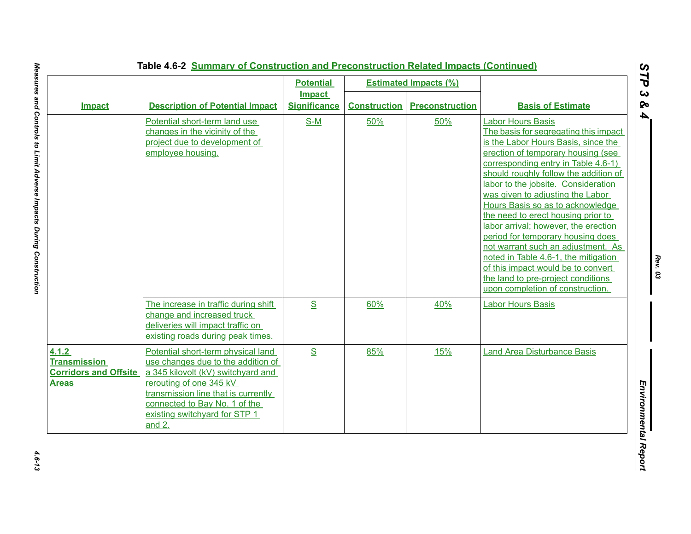|                                                                              | Table 4.6-2 Summary of Construction and Preconstruction Related Impacts (Continued)                                                                                                                                                                            |                                                          |                     |                                                        |                                                                                                                                                                                                                                                                                                                                                                                                                                                                                                                                                                                                                                                                |
|------------------------------------------------------------------------------|----------------------------------------------------------------------------------------------------------------------------------------------------------------------------------------------------------------------------------------------------------------|----------------------------------------------------------|---------------------|--------------------------------------------------------|----------------------------------------------------------------------------------------------------------------------------------------------------------------------------------------------------------------------------------------------------------------------------------------------------------------------------------------------------------------------------------------------------------------------------------------------------------------------------------------------------------------------------------------------------------------------------------------------------------------------------------------------------------------|
| <b>Impact</b>                                                                | <b>Description of Potential Impact</b>                                                                                                                                                                                                                         | <b>Potential</b><br><b>Impact</b><br><b>Significance</b> | <b>Construction</b> | <b>Estimated Impacts (%)</b><br><b>Preconstruction</b> | <b>Basis of Estimate</b>                                                                                                                                                                                                                                                                                                                                                                                                                                                                                                                                                                                                                                       |
|                                                                              | Potential short-term land use<br>changes in the vicinity of the<br>project due to development of<br>employee housing.                                                                                                                                          | $S-M$                                                    | 50%                 | 50%                                                    | <b>Labor Hours Basis</b><br>The basis for segregating this impact<br>is the Labor Hours Basis, since the<br>erection of temporary housing (see<br>corresponding entry in Table 4.6-1)<br>should roughly follow the addition of<br>labor to the jobsite. Consideration<br>was given to adjusting the Labor<br>Hours Basis so as to acknowledge<br>the need to erect housing prior to<br>labor arrival; however, the erection<br>period for temporary housing does<br>not warrant such an adjustment. As<br>noted in Table 4.6-1, the mitigation<br>of this impact would be to convert<br>the land to pre-project conditions<br>upon completion of construction. |
|                                                                              | The increase in traffic during shift<br>change and increased truck<br>deliveries will impact traffic on<br>existing roads during peak times.                                                                                                                   | $S_{\text{}}$                                            | 60%                 | 40%                                                    | <b>Labor Hours Basis</b>                                                                                                                                                                                                                                                                                                                                                                                                                                                                                                                                                                                                                                       |
| 4.1.2<br><b>Transmission</b><br><b>Corridors and Offsite</b><br><b>Areas</b> | Potential short-term physical land<br>use changes due to the addition of<br>a 345 kilovolt (kV) switchyard and<br>rerouting of one 345 kV<br>transmission line that is currently<br>connected to Bay No. 1 of the<br>existing switchyard for STP 1<br>and $2.$ | $\underline{\mathbf{S}}$                                 | 85%                 | 15%                                                    | <b>Land Area Disturbance Basis</b>                                                                                                                                                                                                                                                                                                                                                                                                                                                                                                                                                                                                                             |

 $4.6 - 13$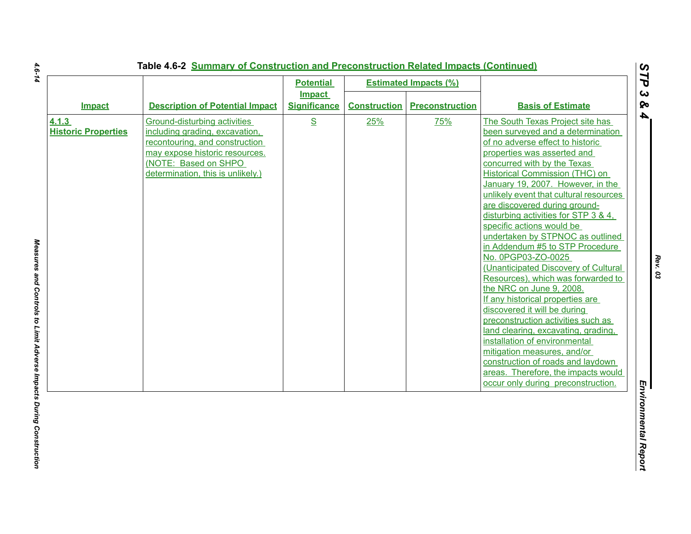|                                     |                                                                                                                                                                                                 | <b>Potential</b>                     |                     | <b>Estimated Impacts (%)</b> |                                                                                                                                                                                                                                                                                                                                                                                                                                                                                                                                                                                                                                                                                                                                                                                                                                                                                                                                                 |
|-------------------------------------|-------------------------------------------------------------------------------------------------------------------------------------------------------------------------------------------------|--------------------------------------|---------------------|------------------------------|-------------------------------------------------------------------------------------------------------------------------------------------------------------------------------------------------------------------------------------------------------------------------------------------------------------------------------------------------------------------------------------------------------------------------------------------------------------------------------------------------------------------------------------------------------------------------------------------------------------------------------------------------------------------------------------------------------------------------------------------------------------------------------------------------------------------------------------------------------------------------------------------------------------------------------------------------|
| <b>Impact</b>                       | <b>Description of Potential Impact</b>                                                                                                                                                          | <b>Impact</b><br><b>Significance</b> | <b>Construction</b> | <b>Preconstruction</b>       | <b>Basis of Estimate</b>                                                                                                                                                                                                                                                                                                                                                                                                                                                                                                                                                                                                                                                                                                                                                                                                                                                                                                                        |
| 4.1.3<br><b>Historic Properties</b> | Ground-disturbing activities<br>including grading, excavation,<br>recontouring, and construction<br>may expose historic resources.<br>(NOTE: Based on SHPO<br>determination, this is unlikely.) | S                                    | 25%                 | 75%                          | The South Texas Project site has<br>been surveyed and a determination<br>of no adverse effect to historic<br>properties was asserted and<br>concurred with by the Texas<br><b>Historical Commission (THC) on</b><br>January 19, 2007. However, in the<br>unlikely event that cultural resources<br>are discovered during ground-<br>disturbing activities for STP 3 & 4.<br>specific actions would be<br>undertaken by STPNOC as outlined<br>in Addendum #5 to STP Procedure<br>No. 0PGP03-ZO-0025<br>(Unanticipated Discovery of Cultural<br>Resources), which was forwarded to<br>the NRC on June 9, 2008.<br>If any historical properties are<br>discovered it will be during<br>preconstruction activities such as<br>land clearing, excavating, grading,<br>installation of environmental<br>mitigation measures, and/or<br>construction of roads and laydown<br>areas. Therefore, the impacts would<br>occur only during preconstruction. |

*Rev. 03*

 $4.6 - 14$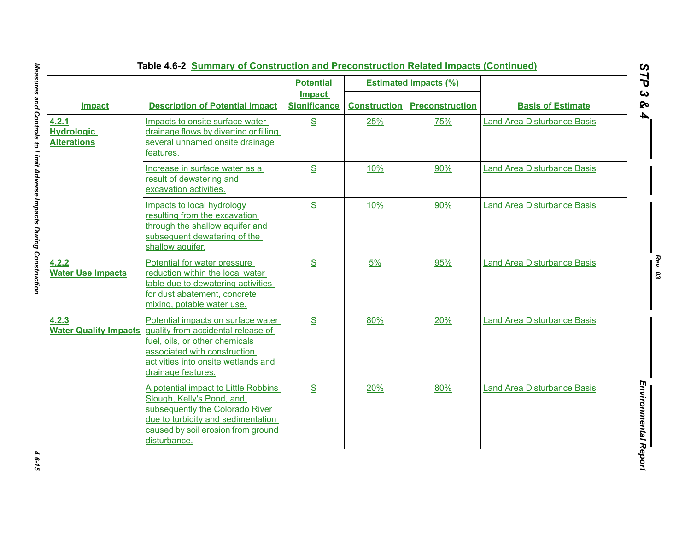|                                                  |                                                                                                                                                                                                         | <b>Potential</b>                     |                     | <b>Estimated Impacts (%)</b> |                                    |
|--------------------------------------------------|---------------------------------------------------------------------------------------------------------------------------------------------------------------------------------------------------------|--------------------------------------|---------------------|------------------------------|------------------------------------|
| <b>Impact</b>                                    | <b>Description of Potential Impact</b>                                                                                                                                                                  | <b>Impact</b><br><b>Significance</b> | <b>Construction</b> | <b>Preconstruction</b>       | <b>Basis of Estimate</b>           |
| 4.2.1<br><b>Hydrologic</b><br><b>Alterations</b> | Impacts to onsite surface water<br>drainage flows by diverting or filling<br>several unnamed onsite drainage<br>features.                                                                               | S                                    | 25%                 | 75%                          | <b>Land Area Disturbance Basis</b> |
|                                                  | Increase in surface water as a<br>result of dewatering and<br>excavation activities.                                                                                                                    | S                                    | 10%                 | 90%                          | <b>Land Area Disturbance Basis</b> |
|                                                  | Impacts to local hydrology<br>resulting from the excavation<br>through the shallow aquifer and<br>subsequent dewatering of the<br>shallow aquifer.                                                      | S                                    | 10%                 | 90%                          | <b>Land Area Disturbance Basis</b> |
| 4.2.2<br><b>Water Use Impacts</b>                | Potential for water pressure<br>reduction within the local water<br>table due to dewatering activities<br>for dust abatement, concrete<br>mixing, potable water use.                                    | S                                    | 5%                  | 95%                          | <b>Land Area Disturbance Basis</b> |
| 4.2.3<br><b>Water Quality Impacts</b>            | Potential impacts on surface water<br>quality from accidental release of<br>fuel, oils, or other chemicals<br>associated with construction<br>activities into onsite wetlands and<br>drainage features. | S                                    | 80%                 | 20%                          | <b>Land Area Disturbance Basis</b> |
|                                                  | A potential impact to Little Robbins<br>Slough, Kelly's Pond, and<br>subsequently the Colorado River<br>due to turbidity and sedimentation<br>caused by soil erosion from ground<br>disturbance.        | S                                    | 20%                 | 80%                          | <b>Land Area Disturbance Basis</b> |

# **Table 4.6-2 Summary of Construction and Preconstruction Related Impacts (Continued)**

4.6-15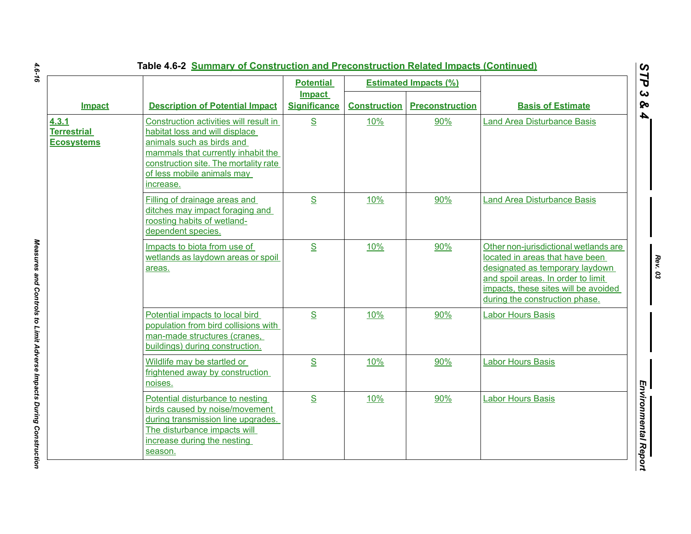|                                                  |                                                                                                                                                                                                                                 | <b>Potential</b>                     |                     | <b>Estimated Impacts (%)</b> |                                                                                                                                                                                                                             |
|--------------------------------------------------|---------------------------------------------------------------------------------------------------------------------------------------------------------------------------------------------------------------------------------|--------------------------------------|---------------------|------------------------------|-----------------------------------------------------------------------------------------------------------------------------------------------------------------------------------------------------------------------------|
| Impact                                           | <b>Description of Potential Impact</b>                                                                                                                                                                                          | <b>Impact</b><br><b>Significance</b> | <b>Construction</b> | <b>Preconstruction</b>       | <b>Basis of Estimate</b>                                                                                                                                                                                                    |
| 4.3.1<br><b>Terrestrial</b><br><b>Ecosystems</b> | Construction activities will result in<br>habitat loss and will displace<br>animals such as birds and<br>mammals that currently inhabit the<br>construction site. The mortality rate<br>of less mobile animals may<br>increase. | S                                    | 10%                 | 90%                          | <b>Land Area Disturbance Basis</b>                                                                                                                                                                                          |
|                                                  | Filling of drainage areas and<br>ditches may impact foraging and<br>roosting habits of wetland-<br>dependent species.                                                                                                           | S                                    | 10%                 | 90%                          | <b>Land Area Disturbance Basis</b>                                                                                                                                                                                          |
|                                                  | Impacts to biota from use of<br>wetlands as laydown areas or spoil<br>areas.                                                                                                                                                    | S                                    | 10%                 | 90%                          | Other non-jurisdictional wetlands are<br>located in areas that have been<br>designated as temporary laydown<br>and spoil areas. In order to limit<br>impacts, these sites will be avoided<br>during the construction phase. |
|                                                  | Potential impacts to local bird<br>population from bird collisions with<br>man-made structures (cranes,<br>buildings) during construction.                                                                                      | S                                    | 10%                 | 90%                          | <b>Labor Hours Basis</b>                                                                                                                                                                                                    |
|                                                  | Wildlife may be startled or<br>frightened away by construction<br>noises.                                                                                                                                                       | S                                    | 10%                 | 90%                          | <b>Labor Hours Basis</b>                                                                                                                                                                                                    |
|                                                  | Potential disturbance to nesting<br>birds caused by noise/movement<br>during transmission line upgrades.<br>The disturbance impacts will<br>increase during the nesting<br>season.                                              | S                                    | 10%                 | 90%                          | <b>Labor Hours Basis</b>                                                                                                                                                                                                    |

# 4.6-16

*4.6-16 Measures and Controls to Limit Adverse Impacts During Construction*  Measures and Controls to Limit Adverse Impacts During Construction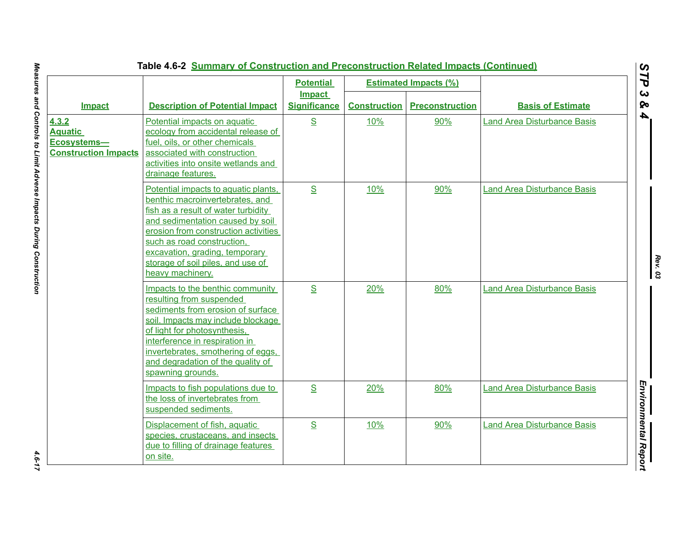|                                                                       |                                                                                                                                                                                                                                                                                                                     | <b>Potential</b><br><b>Impact</b> |                     | <b>Estimated Impacts (%)</b> |                                    |
|-----------------------------------------------------------------------|---------------------------------------------------------------------------------------------------------------------------------------------------------------------------------------------------------------------------------------------------------------------------------------------------------------------|-----------------------------------|---------------------|------------------------------|------------------------------------|
| Impact                                                                | <b>Description of Potential Impact</b>                                                                                                                                                                                                                                                                              | <b>Significance</b>               | <b>Construction</b> | <b>Preconstruction</b>       | <b>Basis of Estimate</b>           |
| 4.3.2<br><b>Aquatic</b><br>Ecosystems-<br><b>Construction Impacts</b> | Potential impacts on aquatic<br>ecology from accidental release of<br>fuel, oils, or other chemicals<br>associated with construction<br>activities into onsite wetlands and<br>drainage features.                                                                                                                   | S                                 | 10%                 | 90%                          | <b>Land Area Disturbance Basis</b> |
|                                                                       | Potential impacts to aquatic plants,<br>benthic macroinvertebrates, and<br>fish as a result of water turbidity<br>and sedimentation caused by soil<br>erosion from construction activities<br>such as road construction,<br>excavation, grading, temporary<br>storage of soil piles, and use of<br>heavy machinery. | $\underline{\mathbf{S}}$          | 10%                 | 90%                          | <b>Land Area Disturbance Basis</b> |
|                                                                       | Impacts to the benthic community<br>resulting from suspended<br>sediments from erosion of surface<br>soil. Impacts may include blockage<br>of light for photosynthesis,<br>interference in respiration in<br>invertebrates, smothering of eggs,<br>and degradation of the quality of<br>spawning grounds.           | S                                 | 20%                 | 80%                          | <b>Land Area Disturbance Basis</b> |
|                                                                       | Impacts to fish populations due to<br>the loss of invertebrates from<br>suspended sediments.                                                                                                                                                                                                                        | S                                 | 20%                 | 80%                          | <b>Land Area Disturbance Basis</b> |
|                                                                       | Displacement of fish, aquatic<br>species, crustaceans, and insects<br>due to filling of drainage features<br>on site.                                                                                                                                                                                               | S                                 | 10%                 | 90%                          | <b>Land Area Disturbance Basis</b> |

l,

 $4.6 - 17$ 

J,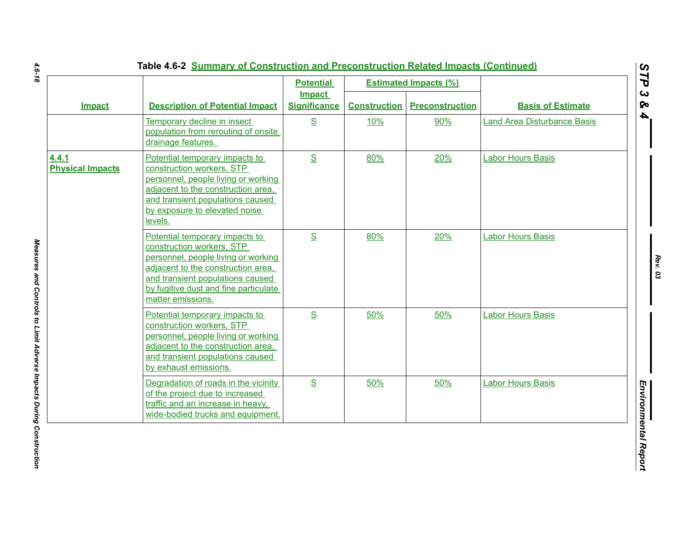|                                  |                                                                                                                                                                                                                                            | <b>Potential</b><br><b>Impact</b> |                     | <b>Estimated Impacts (%)</b> |                                    |
|----------------------------------|--------------------------------------------------------------------------------------------------------------------------------------------------------------------------------------------------------------------------------------------|-----------------------------------|---------------------|------------------------------|------------------------------------|
| <b>Impact</b>                    | <b>Description of Potential Impact</b>                                                                                                                                                                                                     | <b>Significance</b>               | <b>Construction</b> | <b>Preconstruction</b>       | <b>Basis of Estimate</b>           |
|                                  | Temporary decline in insect<br>population from rerouting of onsite<br>drainage features.                                                                                                                                                   | S                                 | 10%                 | 90%                          | <b>Land Area Disturbance Basis</b> |
| 4.4.1<br><b>Physical Impacts</b> | Potential temporary impacts to<br>construction workers, STP<br>personnel, people living or working<br>adjacent to the construction area.<br>and transient populations caused<br>by exposure to elevated noise<br>levels.                   | S                                 | 80%                 | 20%                          | <b>Labor Hours Basis</b>           |
|                                  | Potential temporary impacts to<br>construction workers, STP<br>personnel, people living or working<br>adjacent to the construction area,<br>and transient populations caused<br>by fugitive dust and fine particulate<br>matter emissions. | S                                 | 80%                 | 20%                          | <b>Labor Hours Basis</b>           |
|                                  | Potential temporary impacts to<br>construction workers, STP<br>personnel, people living or working<br>adjacent to the construction area,<br>and transient populations caused<br>by exhaust emissions.                                      | S                                 | 50%                 | 50%                          | <b>Labor Hours Basis</b>           |
|                                  | Degradation of roads in the vicinity<br>of the project due to increased<br>traffic and an increase in heavy,<br>wide-bodied trucks and equipment.                                                                                          | S                                 | 50%                 | 50%                          | <b>Labor Hours Basis</b>           |

4.6-18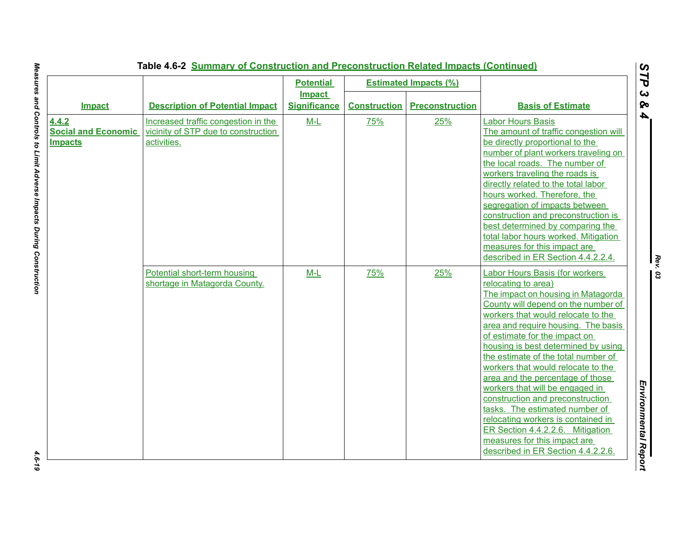|                                                       |                                                                                           | <b>Potential</b>    |                     | <b>Estimated Impacts (%)</b> |                                                                                                                                                                                                                                                                                                                                                                                                                                                                                                                                                                                                                                                                   |
|-------------------------------------------------------|-------------------------------------------------------------------------------------------|---------------------|---------------------|------------------------------|-------------------------------------------------------------------------------------------------------------------------------------------------------------------------------------------------------------------------------------------------------------------------------------------------------------------------------------------------------------------------------------------------------------------------------------------------------------------------------------------------------------------------------------------------------------------------------------------------------------------------------------------------------------------|
|                                                       |                                                                                           | <b>Impact</b>       |                     |                              |                                                                                                                                                                                                                                                                                                                                                                                                                                                                                                                                                                                                                                                                   |
| <b>Impact</b>                                         | <b>Description of Potential Impact</b>                                                    | <b>Significance</b> | <b>Construction</b> | <b>Preconstruction</b>       | <b>Basis of Estimate</b>                                                                                                                                                                                                                                                                                                                                                                                                                                                                                                                                                                                                                                          |
| 4.4.2<br><b>Social and Economic</b><br><b>Impacts</b> | Increased traffic congestion in the<br>vicinity of STP due to construction<br>activities. | $M-L$               | 75%                 | 25%                          | <b>Labor Hours Basis</b><br>The amount of traffic congestion will<br>be directly proportional to the<br>number of plant workers traveling on<br>the local roads. The number of<br>workers traveling the roads is<br>directly related to the total labor<br>hours worked. Therefore, the<br>segregation of impacts between<br>construction and preconstruction is<br>best determined by comparing the<br>total labor hours worked. Mitigation<br>measures for this impact are<br>described in ER Section 4.4.2.2.4.                                                                                                                                                |
|                                                       | Potential short-term housing<br>shortage in Matagorda County.                             | $M-L$               | 75%                 | 25%                          | Labor Hours Basis (for workers<br>relocating to area)<br>The impact on housing in Matagorda<br>County will depend on the number of<br>workers that would relocate to the<br>area and require housing. The basis<br>of estimate for the impact on<br>housing is best determined by using<br>the estimate of the total number of<br>workers that would relocate to the<br>area and the percentage of those<br>workers that will be engaged in<br>construction and preconstruction<br>tasks. The estimated number of<br>relocating workers is contained in<br>ER Section 4.4.2.2.6. Mitigation<br>measures for this impact are<br>described in ER Section 4.4.2.2.6. |

 $4.6 - 19$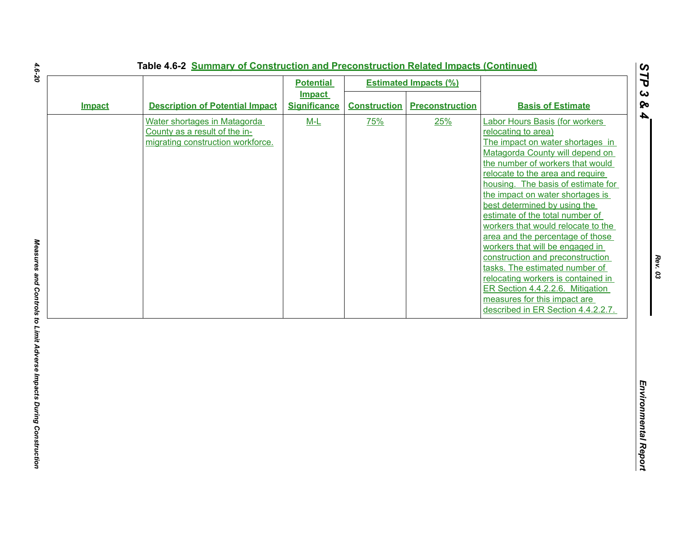|               |                                                                                                    | <b>Potential</b><br><b>Impact</b> |                     | <b>Estimated Impacts (%)</b> |                                                                                                                                                                                                                                                                                                                                                                                                                                                                                                                                                                                                                                                                                             |
|---------------|----------------------------------------------------------------------------------------------------|-----------------------------------|---------------------|------------------------------|---------------------------------------------------------------------------------------------------------------------------------------------------------------------------------------------------------------------------------------------------------------------------------------------------------------------------------------------------------------------------------------------------------------------------------------------------------------------------------------------------------------------------------------------------------------------------------------------------------------------------------------------------------------------------------------------|
| <b>Impact</b> | <b>Description of Potential Impact</b>                                                             | <b>Significance</b>               | <b>Construction</b> | <b>Preconstruction</b>       | <b>Basis of Estimate</b>                                                                                                                                                                                                                                                                                                                                                                                                                                                                                                                                                                                                                                                                    |
|               | Water shortages in Matagorda<br>County as a result of the in-<br>migrating construction workforce. | $M-L$                             | 75%                 | 25%                          | <b>Labor Hours Basis (for workers</b><br>relocating to area)<br>The impact on water shortages in<br>Matagorda County will depend on<br>the number of workers that would<br>relocate to the area and require<br>housing. The basis of estimate for<br>the impact on water shortages is<br>best determined by using the<br>estimate of the total number of<br>workers that would relocate to the<br>area and the percentage of those<br>workers that will be engaged in<br>construction and preconstruction<br>tasks. The estimated number of<br>relocating workers is contained in<br>ER Section 4.4.2.2.6. Mitigation<br>measures for this impact are<br>described in ER Section 4.4.2.2.7. |
|               |                                                                                                    |                                   |                     |                              |                                                                                                                                                                                                                                                                                                                                                                                                                                                                                                                                                                                                                                                                                             |

4.6-20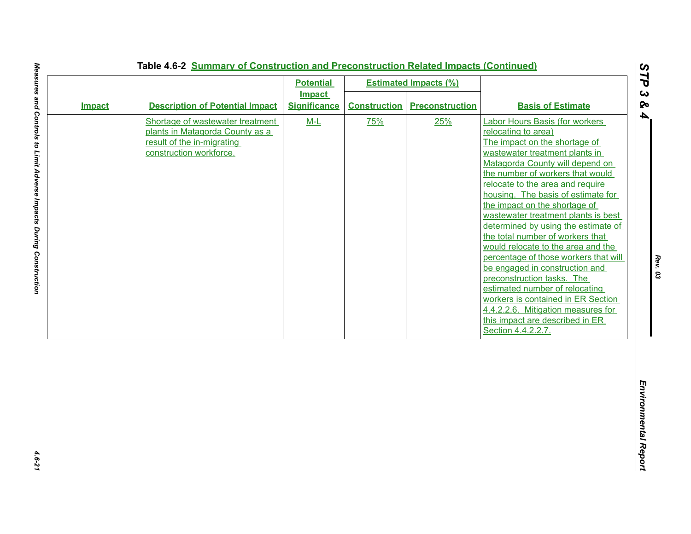|               |                                                                                                                              | <b>Potential</b>                     |                     | <b>Estimated Impacts (%)</b> |                                                                                                                                                                                                                                                                                                                                                                                                                                                                                                                                                                                                                                                                                                                                                           |
|---------------|------------------------------------------------------------------------------------------------------------------------------|--------------------------------------|---------------------|------------------------------|-----------------------------------------------------------------------------------------------------------------------------------------------------------------------------------------------------------------------------------------------------------------------------------------------------------------------------------------------------------------------------------------------------------------------------------------------------------------------------------------------------------------------------------------------------------------------------------------------------------------------------------------------------------------------------------------------------------------------------------------------------------|
| <b>Impact</b> | <b>Description of Potential Impact</b>                                                                                       | <b>Impact</b><br><b>Significance</b> | <b>Construction</b> | <b>Preconstruction</b>       | <b>Basis of Estimate</b>                                                                                                                                                                                                                                                                                                                                                                                                                                                                                                                                                                                                                                                                                                                                  |
|               | Shortage of wastewater treatment<br>plants in Matagorda County as a<br>result of the in-migrating<br>construction workforce. | $M-L$                                | 75%                 | 25%                          | <b>Labor Hours Basis (for workers</b><br>relocating to area)<br>The impact on the shortage of<br>wastewater treatment plants in<br>Matagorda County will depend on<br>the number of workers that would<br>relocate to the area and require<br>housing. The basis of estimate for<br>the impact on the shortage of<br>wastewater treatment plants is best<br>determined by using the estimate of<br>the total number of workers that<br>would relocate to the area and the<br>percentage of those workers that will<br>be engaged in construction and<br>preconstruction tasks. The<br>estimated number of relocating<br>workers is contained in ER Section<br>4.4.2.2.6. Mitigation measures for<br>this impact are described in ER<br>Section 4.4.2.2.7. |
|               |                                                                                                                              |                                      |                     |                              |                                                                                                                                                                                                                                                                                                                                                                                                                                                                                                                                                                                                                                                                                                                                                           |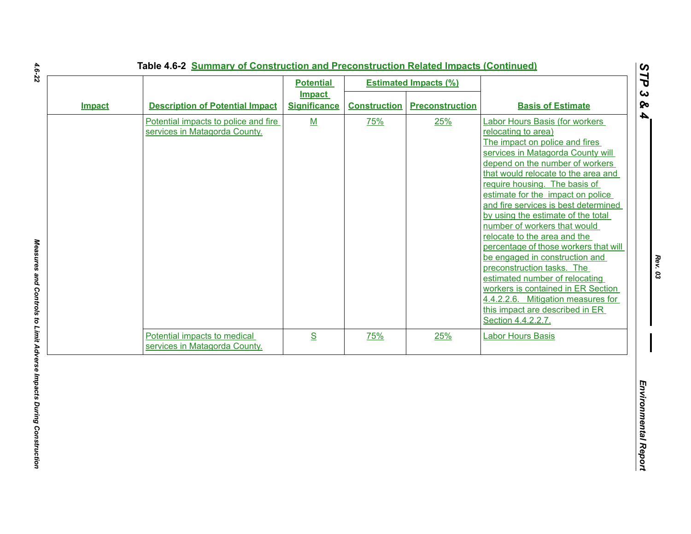|        |                                                                       | <b>Potential</b>                     |                     | <b>Estimated Impacts (%)</b> |                                                                                                                                                                                                                                                                                                                                                                                                                                                                                                                                                                                                                                                                                                                   |
|--------|-----------------------------------------------------------------------|--------------------------------------|---------------------|------------------------------|-------------------------------------------------------------------------------------------------------------------------------------------------------------------------------------------------------------------------------------------------------------------------------------------------------------------------------------------------------------------------------------------------------------------------------------------------------------------------------------------------------------------------------------------------------------------------------------------------------------------------------------------------------------------------------------------------------------------|
| Impact | <b>Description of Potential Impact</b>                                | <b>Impact</b><br><b>Significance</b> | <b>Construction</b> | <b>Preconstruction</b>       | <b>Basis of Estimate</b>                                                                                                                                                                                                                                                                                                                                                                                                                                                                                                                                                                                                                                                                                          |
|        | Potential impacts to police and fire<br>services in Matagorda County. | M                                    | 75%                 | 25%                          | <b>Labor Hours Basis (for workers</b><br>relocating to area)<br>The impact on police and fires<br>services in Matagorda County will<br>depend on the number of workers<br>that would relocate to the area and<br>require housing. The basis of<br>estimate for the impact on police<br>and fire services is best determined<br>by using the estimate of the total<br>number of workers that would<br>relocate to the area and the<br>percentage of those workers that will<br>be engaged in construction and<br>preconstruction tasks. The<br>estimated number of relocating<br>workers is contained in ER Section<br>4.4.2.2.6. Mitigation measures for<br>this impact are described in ER<br>Section 4.4.2.2.7. |
|        | Potential impacts to medical<br>services in Matagorda County.         | S                                    | 75%                 | 25%                          | <b>Labor Hours Basis</b>                                                                                                                                                                                                                                                                                                                                                                                                                                                                                                                                                                                                                                                                                          |
|        |                                                                       |                                      |                     |                              |                                                                                                                                                                                                                                                                                                                                                                                                                                                                                                                                                                                                                                                                                                                   |

 $\mathbf{L}$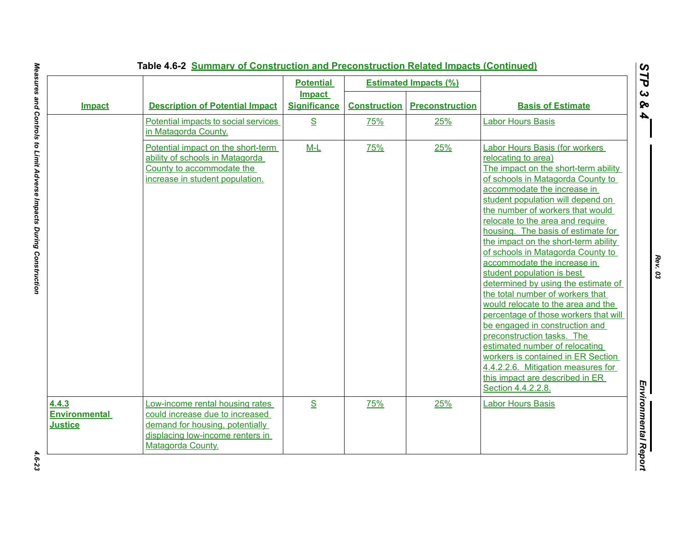|                                                 |                                                                                                                                                                | <b>Potential</b>                     |                     | <b>Estimated Impacts (%)</b> |                                                                                                                                                                                                                                                                                                                                                                                                                                                                                                                                                                                                                                                                                                                                                                                                                                                                 |
|-------------------------------------------------|----------------------------------------------------------------------------------------------------------------------------------------------------------------|--------------------------------------|---------------------|------------------------------|-----------------------------------------------------------------------------------------------------------------------------------------------------------------------------------------------------------------------------------------------------------------------------------------------------------------------------------------------------------------------------------------------------------------------------------------------------------------------------------------------------------------------------------------------------------------------------------------------------------------------------------------------------------------------------------------------------------------------------------------------------------------------------------------------------------------------------------------------------------------|
| <b>Impact</b>                                   | <b>Description of Potential Impact</b>                                                                                                                         | <b>Impact</b><br><b>Significance</b> | <b>Construction</b> | <b>Preconstruction</b>       | <b>Basis of Estimate</b>                                                                                                                                                                                                                                                                                                                                                                                                                                                                                                                                                                                                                                                                                                                                                                                                                                        |
|                                                 | Potential impacts to social services<br>in Matagorda County.                                                                                                   | S                                    | 75%                 | 25%                          | <b>Labor Hours Basis</b>                                                                                                                                                                                                                                                                                                                                                                                                                                                                                                                                                                                                                                                                                                                                                                                                                                        |
|                                                 | Potential impact on the short-term<br>ability of schools in Matagorda<br>County to accommodate the<br>increase in student population.                          | $M-L$                                | 75%                 | 25%                          | Labor Hours Basis (for workers<br>relocating to area)<br>The impact on the short-term ability<br>of schools in Matagorda County to<br>accommodate the increase in<br>student population will depend on<br>the number of workers that would<br>relocate to the area and require<br>housing. The basis of estimate for<br>the impact on the short-term ability<br>of schools in Matagorda County to<br>accommodate the increase in<br>student population is best<br>determined by using the estimate of<br>the total number of workers that<br>would relocate to the area and the<br>percentage of those workers that will<br>be engaged in construction and<br>preconstruction tasks. The<br>estimated number of relocating<br>workers is contained in ER Section<br>4.4.2.2.6. Mitigation measures for<br>this impact are described in ER<br>Section 4.4.2.2.8. |
| 4.4.3<br><b>Environmental</b><br><b>Justice</b> | Low-income rental housing rates<br>could increase due to increased<br>demand for housing, potentially<br>displacing low-income renters in<br>Matagorda County. | S                                    | 75%                 | 25%                          | <b>Labor Hours Basis</b>                                                                                                                                                                                                                                                                                                                                                                                                                                                                                                                                                                                                                                                                                                                                                                                                                                        |

*Rev. 03*

4.6-23